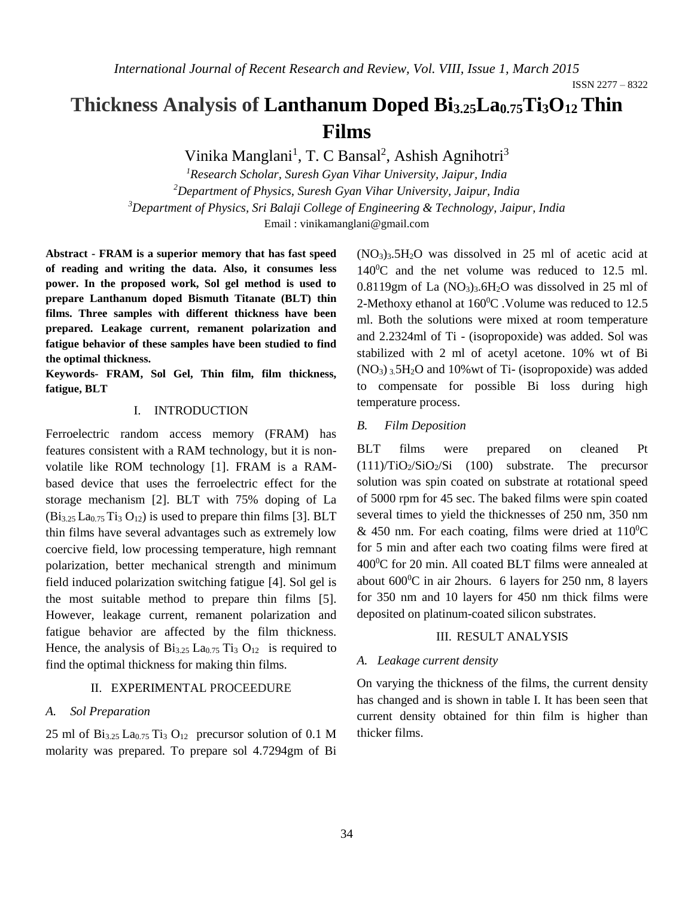ISSN 2277 – 8322

# **Thickness Analysis of Lanthanum Doped Bi3.25La0.75Ti3O12 Thin Films**

Vinika Manglani<sup>1</sup>, T. C Bansal<sup>2</sup>, Ashish Agnihotri<sup>3</sup>

*Research Scholar, Suresh Gyan Vihar University, Jaipur, India Department of Physics, Suresh Gyan Vihar University, Jaipur, India Department of Physics, Sri Balaji College of Engineering & Technology, Jaipur, India* Email : [vinikamanglani@gmail.com](mailto:vinikamanglani@gmail.com)

**Abstract - FRAM is a superior memory that has fast speed of reading and writing the data. Also, it consumes less power. In the proposed work, Sol gel method is used to prepare Lanthanum doped Bismuth Titanate (BLT) thin films. Three samples with different thickness have been prepared. Leakage current, remanent polarization and fatigue behavior of these samples have been studied to find the optimal thickness.**

**Keywords- FRAM, Sol Gel, Thin film, film thickness, fatigue, BLT**

### I. INTRODUCTION

Ferroelectric random access memory (FRAM) has features consistent with a RAM technology, but it is nonvolatile like ROM technology [1]. FRAM is a RAMbased device that uses the ferroelectric effect for the storage mechanism [2]. BLT with 75% doping of La  $(Bi_{3.25} La_{0.75} Ti_3 O_{12})$  is used to prepare thin films [3]. BLT thin films have several advantages such as extremely low coercive field, low processing temperature, high remnant polarization, better mechanical strength and minimum field induced polarization switching fatigue [4]. Sol gel is the most suitable method to prepare thin films [5]. However, leakage current, remanent polarization and fatigue behavior are affected by the film thickness. Hence, the analysis of  $Bi_{3.25}$  La<sub>0.75</sub> T<sub>i3</sub> O<sub>12</sub> is required to find the optimal thickness for making thin films.

#### II. EXPERIMENTAL PROCEEDURE

#### *A. Sol Preparation*

25 ml of  $Bi_{3.25}$  La<sub>0.75</sub> T<sub>13</sub> O<sub>12</sub> precursor solution of 0.1 M molarity was prepared. To prepare sol 4.7294gm of Bi  $(NO<sub>3</sub>)<sub>3</sub>5H<sub>2</sub>O$  was dissolved in 25 ml of acetic acid at  $140\degree$ C and the net volume was reduced to 12.5 ml.  $0.8119$ gm of La  $(NO<sub>3</sub>)<sub>3</sub>$ .6H<sub>2</sub>O was dissolved in 25 ml of 2-Methoxy ethanol at  $160^{\circ}$ C. Volume was reduced to 12.5 ml. Both the solutions were mixed at room temperature and 2.2324ml of Ti - (isopropoxide) was added. Sol was stabilized with 2 ml of acetyl acetone. 10% wt of Bi  $(NO<sub>3</sub>)<sub>3</sub>5H<sub>2</sub>O$  and 10% wt of Ti- (isopropoxide) was added to compensate for possible Bi loss during high temperature process.

#### *B. Film Deposition*

BLT films were prepared on cleaned Pt  $(111)/TiO<sub>2</sub>/SiO<sub>2</sub>/Si$   $(100)$  substrate. The precursor solution was spin coated on substrate at rotational speed of 5000 rpm for 45 sec. The baked films were spin coated several times to yield the thicknesses of 250 nm, 350 nm & 450 nm. For each coating, films were dried at  $110^0C$ for 5 min and after each two coating films were fired at 400<sup>0</sup>C for 20 min. All coated BLT films were annealed at about 600<sup>0</sup>C in air 2hours. 6 layers for 250 nm, 8 layers for 350 nm and 10 layers for 450 nm thick films were deposited on platinum-coated silicon substrates.

#### III. RESULT ANALYSIS

#### *A. Leakage current density*

On varying the thickness of the films, the current density has changed and is shown in table I. It has been seen that current density obtained for thin film is higher than thicker films.